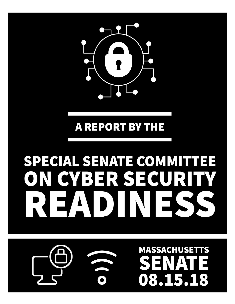

# **MASSACHUSET** TS 08.15.1 8

# SPECIAL SENATE COMMITTEE CYBER SECUR

# **A REPORT BY THE**

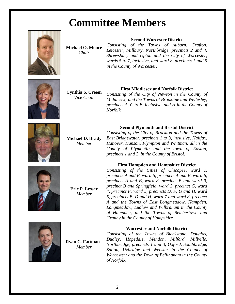# **Committee Members**



**Michael O. Moore** *Chair*

**Second Worcester District**

*Consisting of the Towns of Auburn, Grafton, Leicester, Millbury, Northbridge, precincts 2 and 4, Shrewsbury and Upton and the City of Worcester, wards 5 to 7, inclusive, and ward 8, precincts 1 and 5 in the County of Worcester.*



**Cynthia S. Creem** *Vice Chair*

# **First Middlesex and Norfolk District**

*Consisting of the City of Newton in the County of Middlesex; and the Towns of Brookline and Wellesley, precincts A, C to E, inclusive, and H in the County of Norfolk.*



**Michael D. Brady** *Member*

**Second Plymouth and Bristol District**

*Consisting of the City of Brockton and the Towns of East Bridgewater, precincts 1 to 3, inclusive, Halifax, Hanover, Hanson, Plympton and Whitman, all in the County of Plymouth; and the town of Easton, precincts 1 and 2, in the County of Bristol.*





**Eric P. Lesser** *Member*

*Consisting of the Cities of Chicopee, ward 1, precincts A and B, ward 5, precincts A and B, ward 6, precincts A and B, ward 8, precinct B and ward 9, precinct B and Springfield, ward 2, precinct G, ward 4, precinct F, ward 5, precincts D, F, G and H, ward 6, precincts B, D and H, ward 7 and ward 8, precinct A and the Towns of East Longmeadow, Hampden, Longmeadow, Ludlow and Wilbraham in the County of Hampden; and the Towns of Belchertown and Granby in the County of Hampshire.*



**Ryan C. Fattman** *Member*

# **Worcester and Norfolk District**

*Consisting of the Towns of Blackstone, Douglas, Dudley, Hopedale, Mendon, Milford, Millville, Northbridge, precincts 1 and 3, Oxford, Southbridge, Sutton, Uxbridge and Webster in the County of Worcester; and the Town of Bellingham in the County of Norfolk.*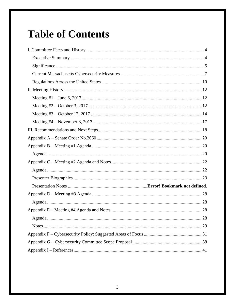# **Table of Contents**

| 28 |
|----|
|    |
|    |
|    |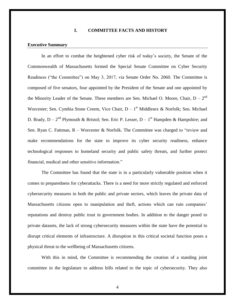# **I. COMMITTEE FACTS AND HISTORY**

# <span id="page-3-0"></span>**Executive Summary**

In an effort to combat the heightened cyber risk of today's society, the Senate of the Commonwealth of Massachusetts formed the Special Senate Committee on Cyber Security Readiness ("the Committee") on May 3, 2017, via Senate Order No. 2060. The Committee is composed of five senators, four appointed by the President of the Senate and one appointed by the Minority Leader of the Senate. These members are Sen. Michael O. Moore, Chair,  $D - 2<sup>nd</sup>$ Worcester; Sen. Cynthia Stone Creem, Vice Chair,  $D - 1<sup>st</sup>$  Middlesex & Norfolk; Sen. Michael D. Brady,  $D - 2<sup>nd</sup>$  Plymouth & Bristol; Sen. Eric P. Lesser,  $D - 1<sup>st</sup>$  Hampden & Hampshire; and Sen. Ryan C. Fattman,  $R - W$ orcester & Norfolk. The Committee was charged to "review and make recommendations for the state to improve its cyber security readiness, enhance technological responses to homeland security and public safety threats, and further protect financial, medical and other sensitive information."

The Committee has found that the state is in a particularly vulnerable position when it comes to preparedness for cyberattacks. There is a need for more strictly regulated and enforced cybersecurity measures in both the public and private sectors, which leaves the private data of Massachusetts citizens open to manipulation and theft, actions which can ruin companies' reputations and destroy public trust in government bodies. In addition to the danger posed to private datasets, the lack of strong cybersecurity measures within the state have the potential to disrupt critical elements of infrastructure. A disruption in this critical societal function poses a physical threat to the wellbeing of Massachusetts citizens.

With this in mind, the Committee is recommending the creation of a standing joint committee in the legislature to address bills related to the topic of cybersecurity. They also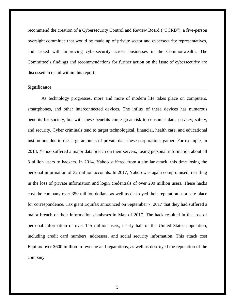recommend the creation of a Cybersecurity Control and Review Board ("CCRB"), a five-person oversight committee that would be made up of private sector and cybersecurity representatives, and tasked with improving cybersecurity across businesses in the Commonwealth. The Committee's findings and recommendations for further action on the issue of cybersecurity are discussed in detail within this report.

#### <span id="page-4-0"></span>**Significance**

As technology progresses, more and more of modern life takes place on computers, smartphones, and other interconnected devices. The influx of these devices has numerous benefits for society, but with these benefits come great risk to consumer data, privacy, safety, and security. Cyber criminals tend to target technological, financial, health care, and educational institutions due to the large amounts of private data these corporations gather. For example, in 2013, Yahoo suffered a major data breach on their servers, losing personal information about all 3 billion users to hackers. In 2014, Yahoo suffered from a similar attack, this time losing the personal information of 32 million accounts. In 2017, Yahoo was again compromised, resulting in the loss of private information and login credentials of over 200 million users. These hacks cost the company over 350 million dollars, as well as destroyed their reputation as a safe place for correspondence. Tax giant Equifax announced on September 7, 2017 that they had suffered a major breach of their information databases in May of 2017. The hack resulted in the loss of personal information of over 145 million users, nearly half of the United States population, including credit card numbers, addresses, and social security information. This attack cost Equifax over \$600 million in revenue and reparations, as well as destroyed the reputation of the company.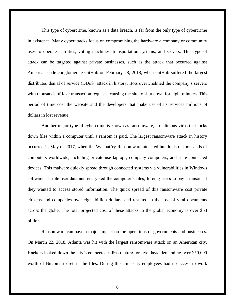This type of cybercrime, known as a data breach, is far from the only type of cybercrime in existence. Many cyberattacks focus on compromising the hardware a company or community uses to operate—utilities, voting machines, transportation systems, and servers. This type of attack can be targeted against private businesses, such as the attack that occurred against American code conglomerate GitHub on February 28, 2018, when GitHub suffered the largest distributed denial of service (DDoS) attack in history. Bots overwhelmed the company's servers with thousands of fake transaction requests, causing the site to shut down for eight minutes. This period of time cost the website and the developers that make use of its services millions of dollars in lost revenue.

Another major type of cybercrime is known as ransomware, a malicious virus that locks down files within a computer until a ransom is paid. The largest ransomware attack in history occurred in May of 2017, when the WannaCry Ransomware attacked hundreds of thousands of computers worldwide, including private-use laptops, company computers, and state-connected devices. This malware quickly spread through connected systems via vulnerabilities in Windows software. It stole user data and encrypted the computer's files, forcing users to pay a ransom if they wanted to access stored information. The quick spread of this ransomware cost private citizens and companies over eight billion dollars, and resulted in the loss of vital documents across the globe. The total projected cost of these attacks to the global economy is over \$53 billion.

Ransomware can have a major impact on the operations of governments and businesses. On March 22, 2018, Atlanta was hit with the largest ransomware attack on an American city. Hackers locked down the city's connected infrastructure for five days, demanding over \$50,000 worth of Bitcoins to return the files. During this time city employees had no access to work

6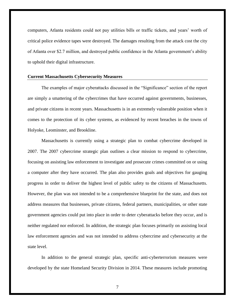computers, Atlanta residents could not pay utilities bills or traffic tickets, and years' worth of critical police evidence tapes were destroyed. The damages resulting from the attack cost the city of Atlanta over \$2.7 million, and destroyed public confidence in the Atlanta government's ability to uphold their digital infrastructure.

# <span id="page-6-0"></span>**Current Massachusetts Cybersecurity Measures**

The examples of major cyberattacks discussed in the "Significance" section of the report are simply a smattering of the cybercrimes that have occurred against governments, businesses, and private citizens in recent years. Massachusetts is in an extremely vulnerable position when it comes to the protection of its cyber systems, as evidenced by recent breaches in the towns of Holyoke, Leominster, and Brookline.

Massachusetts is currently using a strategic plan to combat cybercrime developed in 2007. The 2007 cybercrime strategic plan outlines a clear mission to respond to cybercrime, focusing on assisting law enforcement to investigate and prosecute crimes committed on or using a computer after they have occurred. The plan also provides goals and objectives for gauging progress in order to deliver the highest level of public safety to the citizens of Massachusetts. However, the plan was not intended to be a comprehensive blueprint for the state, and does not address measures that businesses, private citizens, federal partners, municipalities, or other state government agencies could put into place in order to deter cyberattacks before they occur, and is neither regulated nor enforced. In addition, the strategic plan focuses primarily on assisting local law enforcement agencies and was not intended to address cybercrime and cybersecurity at the state level.

In addition to the general strategic plan, specific anti-cyberterrorism measures were developed by the state Homeland Security Division in 2014. These measures include promoting

7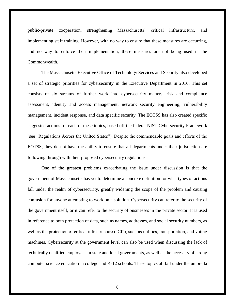public-private cooperation, strengthening Massachusetts' critical infrastructure, and implementing staff training. However, with no way to ensure that these measures are occurring, and no way to enforce their implementation, these measures are not being used in the Commonwealth.

The Massachusetts Executive Office of Technology Services and Security also developed a set of strategic priorities for cybersecurity in the Executive Department in 2016. This set consists of six streams of further work into cybersecurity matters: risk and compliance assessment, identity and access management, network security engineering, vulnerability management, incident response, and data specific security. The EOTSS has also created specific suggested actions for each of these topics, based off the federal NIST Cybersecurity Framework (see "Regulations Across the United States"). Despite the commendable goals and efforts of the EOTSS, they do not have the ability to ensure that all departments under their jurisdiction are following through with their proposed cybersecurity regulations.

One of the greatest problems exacerbating the issue under discussion is that the government of Massachusetts has yet to determine a concrete definition for what types of actions fall under the realm of cybersecurity, greatly widening the scope of the problem and causing confusion for anyone attempting to work on a solution. Cybersecurity can refer to the security of the government itself, or it can refer to the security of businesses in the private sector. It is used in reference to both protection of data, such as names, addresses, and social security numbers, as well as the protection of critical infrastructure ("CI"), such as utilities, transportation, and voting machines. Cybersecurity at the government level can also be used when discussing the lack of technically qualified employees in state and local governments, as well as the necessity of strong computer science education in college and K-12 schools. These topics all fall under the umbrella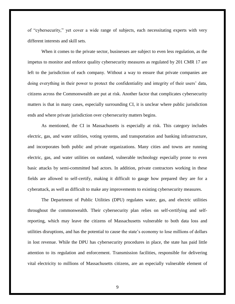of "cybersecurity," yet cover a wide range of subjects, each necessitating experts with very different interests and skill sets.

When it comes to the private sector, businesses are subject to even less regulation, as the impetus to monitor and enforce quality cybersecurity measures as regulated by 201 CMR 17 are left to the jurisdiction of each company. Without a way to ensure that private companies are doing everything in their power to protect the confidentiality and integrity of their users' data, citizens across the Commonwealth are put at risk. Another factor that complicates cybersecurity matters is that in many cases, especially surrounding CI, it is unclear where public jurisdiction ends and where private jurisdiction over cybersecurity matters begins.

As mentioned, the CI in Massachusetts is especially at risk. This category includes electric, gas, and water utilities, voting systems, and transportation and banking infrastructure, and incorporates both public and private organizations. Many cities and towns are running electric, gas, and water utilities on outdated, vulnerable technology especially prone to even basic attacks by semi-committed bad actors. In addition, private contractors working in these fields are allowed to self-certify, making it difficult to gauge how prepared they are for a cyberattack, as well as difficult to make any improvements to existing cybersecurity measures.

The Department of Public Utilities (DPU) regulates water, gas, and electric utilities throughout the commonwealth. Their cybersecurity plan relies on self-certifying and selfreporting, which may leave the citizens of Massachusetts vulnerable to both data loss and utilities disruptions, and has the potential to cause the state's economy to lose millions of dollars in lost revenue. While the DPU has cybersecurity procedures in place, the state has paid little attention to its regulation and enforcement. Transmission facilities, responsible for delivering vital electricity to millions of Massachusetts citizens, are an especially vulnerable element of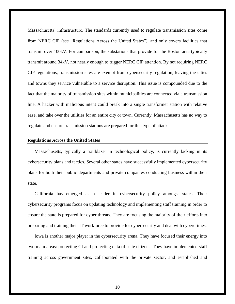Massachusetts' infrastructure. The standards currently used to regulate transmission sites come from NERC CIP (see "Regulations Across the United States"), and only covers facilities that transmit over 100kV. For comparison, the substations that provide for the Boston area typically transmit around 34kV, not nearly enough to trigger NERC CIP attention. By not requiring NERC CIP regulations, transmission sites are exempt from cybersecurity regulation, leaving the cities and towns they service vulnerable to a service disruption. This issue is compounded due to the fact that the majority of transmission sites within municipalities are connected via a transmission line. A hacker with malicious intent could break into a single transformer station with relative ease, and take over the utilities for an entire city or town. Currently, Massachusetts has no way to regulate and ensure transmission stations are prepared for this type of attack.

# <span id="page-9-0"></span>**Regulations Across the United States**

Massachusetts, typically a trailblazer in technological policy, is currently lacking in its cybersecurity plans and tactics. Several other states have successfully implemented cybersecurity plans for both their public departments and private companies conducting business within their state.

California has emerged as a leader in cybersecurity policy amongst states. Their cybersecurity programs focus on updating technology and implementing staff training in order to ensure the state is prepared for cyber threats. They are focusing the majority of their efforts into preparing and training their IT workforce to provide for cybersecurity and deal with cybercrimes.

Iowa is another major player in the cybersecurity arena. They have focused their energy into two main areas: protecting CI and protecting data of state citizens. They have implemented staff training across government sites, collaborated with the private sector, and established and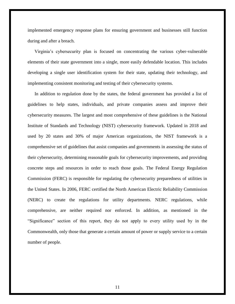implemented emergency response plans for ensuring government and businesses still function during and after a breach.

Virginia's cybersecurity plan is focused on concentrating the various cyber-vulnerable elements of their state government into a single, more easily defendable location. This includes developing a single user identification system for their state, updating their technology, and implementing consistent monitoring and testing of their cybersecurity systems.

In addition to regulation done by the states, the federal government has provided a list of guidelines to help states, individuals, and private companies assess and improve their cybersecurity measures. The largest and most comprehensive of these guidelines is the National Institute of Standards and Technology (NIST) cybersecurity framework. Updated in 2018 and used by 20 states and 30% of major American organizations, the NIST framework is a comprehensive set of guidelines that assist companies and governments in assessing the status of their cybersecurity, determining reasonable goals for cybersecurity improvements, and providing concrete steps and resources in order to reach those goals. The Federal Energy Regulation Commission (FERC) is responsible for regulating the cybersecurity preparedness of utilities in the United States. In 2006, FERC certified the North American Electric Reliability Commission (NERC) to create the regulations for utility departments. NERC regulations, while comprehensive, are neither required nor enforced. In addition, as mentioned in the "Significance" section of this report, they do not apply to every utility used by in the Commonwealth, only those that generate a certain amount of power or supply service to a certain number of people.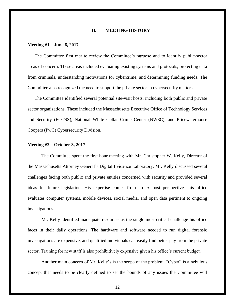# **II. MEETING HISTORY**

#### <span id="page-11-0"></span>**Meeting #1 – June 6, 2017**

The Committee first met to review the Committee's purpose and to identify public-sector areas of concern. These areas included evaluating existing systems and protocols, protecting data from criminals, understanding motivations for cybercrime, and determining funding needs. The Committee also recognized the need to support the private sector in cybersecurity matters.

The Committee identified several potential site-visit hosts, including both public and private sector organizations. These included the Massachusetts Executive Office of Technology Services and Security (EOTSS), National White Collar Crime Center (NW3C), and Pricewaterhouse Coopers (PwC) Cybersecurity Division.

#### <span id="page-11-1"></span>**Meeting #2 – October 3, 2017**

The Committee spent the first hour meeting with Mr. Christopher W. Kelly, Director of the Massachusetts Attorney General's Digital Evidence Laboratory. Mr. Kelly discussed several challenges facing both public and private entities concerned with security and provided several ideas for future legislation. His expertise comes from an ex post perspective—his office evaluates computer systems, mobile devices, social media, and open data pertinent to ongoing investigations.

Mr. Kelly identified inadequate resources as the single most critical challenge his office faces in their daily operations. The hardware and software needed to run digital forensic investigations are expensive, and qualified individuals can easily find better pay from the private sector. Training for new staff is also prohibitively expensive given his office's current budget.

Another main concern of Mr. Kelly's is the scope of the problem. "Cyber" is a nebulous concept that needs to be clearly defined to set the bounds of any issues the Committee will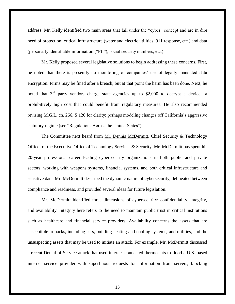address. Mr. Kelly identified two main areas that fall under the "cyber" concept and are in dire need of protection: critical infrastructure (water and electric utilities, 911 response, etc.) and data (personally identifiable information ("PII"), social security numbers, etc.).

Mr. Kelly proposed several legislative solutions to begin addressing these concerns. First, he noted that there is presently no monitoring of companies' use of legally mandated data encryption. Firms may be fined after a breach, but at that point the harm has been done. Next, he noted that  $3<sup>rd</sup>$  party vendors charge state agencies up to \$2,000 to decrypt a device—a prohibitively high cost that could benefit from regulatory measures. He also recommended revising M.G.L. ch. 266, S 120 for clarity; perhaps modeling changes off California's aggressive statutory regime (see "Regulations Across the United States").

The Committee next heard from Mr. Dennis McDermitt, Chief Security & Technology Officer of the Executive Office of Technology Services & Security. Mr. McDermitt has spent his 20-year professional career leading cybersecurity organizations in both public and private sectors, working with weapons systems, financial systems, and both critical infrastructure and sensitive data. Mr. McDermitt described the dynamic nature of cybersecurity, delineated between compliance and readiness, and provided several ideas for future legislation.

Mr. McDermitt identified three dimensions of cybersecurity: confidentiality, integrity, and availability. Integrity here refers to the need to maintain public trust in critical institutions such as healthcare and financial service providers. Availability concerns the assets that are susceptible to hacks, including cars, building heating and cooling systems, and utilities, and the unsuspecting assets that may be used to initiate an attack. For example, Mr. McDermitt discussed a recent Denial-of-Service attack that used internet-connected thermostats to flood a U.S.-based internet service provider with superfluous requests for information from servers, blocking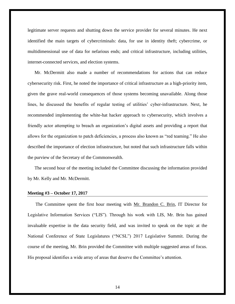legitimate server requests and shutting down the service provider for several minutes. He next identified the main targets of cybercriminals: data, for use in identity theft; cybercrime, or multidimensional use of data for nefarious ends; and critical infrastructure, including utilities, internet-connected services, and election systems.

Mr. McDermitt also made a number of recommendations for actions that can reduce cybersecurity risk. First, he noted the importance of critical infrastructure as a high-priority item, given the grave real-world consequences of those systems becoming unavailable. Along those lines, he discussed the benefits of regular testing of utilities' cyber-infrastructure. Next, he recommended implementing the white-hat hacker approach to cybersecurity, which involves a friendly actor attempting to breach an organization's digital assets and providing a report that allows for the organization to patch deficiencies, a process also known as "red teaming." He also described the importance of election infrastructure, but noted that such infrastructure falls within the purview of the Secretary of the Commonwealth.

The second hour of the meeting included the Committee discussing the information provided by Mr. Kelly and Mr. McDermitt.

#### <span id="page-13-0"></span>**Meeting #3 – October 17, 2017**

The Committee spent the first hour meeting with Mr. Brandon C. Brin, IT Director for Legislative Information Services ("LIS"). Through his work with LIS, Mr. Brin has gained invaluable expertise in the data security field, and was invited to speak on the topic at the National Conference of State Legislatures ("NCSL") 2017 Legislative Summit. During the course of the meeting, Mr. Brin provided the Committee with multiple suggested areas of focus. His proposal identifies a wide array of areas that deserve the Committee's attention.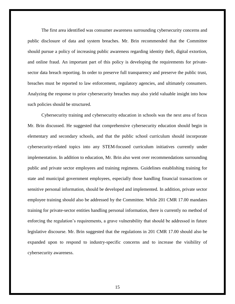The first area identified was consumer awareness surrounding cybersecurity concerns and public disclosure of data and system breaches. Mr. Brin recommended that the Committee should pursue a policy of increasing public awareness regarding identity theft, digital extortion, and online fraud. An important part of this policy is developing the requirements for privatesector data breach reporting. In order to preserve full transparency and preserve the public trust, breaches must be reported to law enforcement, regulatory agencies, and ultimately consumers. Analyzing the response to prior cybersecurity breaches may also yield valuable insight into how such policies should be structured.

Cybersecurity training and cybersecurity education in schools was the next area of focus Mr. Brin discussed. He suggested that comprehensive cybersecurity education should begin in elementary and secondary schools, and that the public school curriculum should incorporate cybersecurity-related topics into any STEM-focused curriculum initiatives currently under implementation. In addition to education, Mr. Brin also went over recommendations surrounding public and private sector employees and training regimens. Guidelines establishing training for state and municipal government employees, especially those handling financial transactions or sensitive personal information, should be developed and implemented. In addition, private sector employee training should also be addressed by the Committee. While 201 CMR 17.00 mandates training for private-sector entities handling personal information, there is currently no method of enforcing the regulation's requirements, a grave vulnerability that should be addressed in future legislative discourse. Mr. Brin suggested that the regulations in 201 CMR 17.00 should also be expanded upon to respond to industry-specific concerns and to increase the visibility of cybersecurity awareness.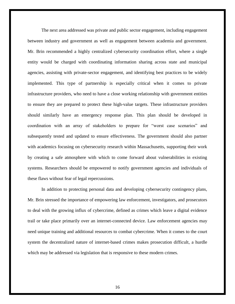The next area addressed was private and public sector engagement, including engagement between industry and government as well as engagement between academia and government. Mr. Brin recommended a highly centralized cybersecurity coordination effort, where a single entity would be charged with coordinating information sharing across state and municipal agencies, assisting with private-sector engagement, and identifying best practices to be widely implemented. This type of partnership is especially critical when it comes to private infrastructure providers, who need to have a close working relationship with government entities to ensure they are prepared to protect these high-value targets. These infrastructure providers should similarly have an emergency response plan. This plan should be developed in coordination with an array of stakeholders to prepare for "worst case scenarios" and subsequently tested and updated to ensure effectiveness. The government should also partner with academics focusing on cybersecurity research within Massachusetts, supporting their work by creating a safe atmosphere with which to come forward about vulnerabilities in existing systems. Researchers should be empowered to notify government agencies and individuals of these flaws without fear of legal repercussions.

In addition to protecting personal data and developing cybersecurity contingency plans, Mr. Brin stressed the importance of empowering law enforcement, investigators, and prosecutors to deal with the growing influx of cybercrime, defined as crimes which leave a digital evidence trail or take place primarily over an internet-connected device. Law enforcement agencies may need unique training and additional resources to combat cybercrime. When it comes to the court system the decentralized nature of internet-based crimes makes prosecution difficult, a hurdle which may be addressed via legislation that is responsive to these modern crimes.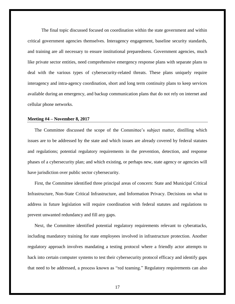The final topic discussed focused on coordination within the state government and within critical government agencies themselves. Interagency engagement, baseline security standards, and training are all necessary to ensure institutional preparedness. Government agencies, much like private sector entities, need comprehensive emergency response plans with separate plans to deal with the various types of cybersecurity-related threats. These plans uniquely require interagency and intra-agency coordination, short and long term continuity plans to keep services available during an emergency, and backup communication plans that do not rely on internet and cellular phone networks.

#### <span id="page-16-0"></span>**Meeting #4 – November 8, 2017**

The Committee discussed the scope of the Committee's subject matter, distilling which issues are to be addressed by the state and which issues are already covered by federal statutes and regulations; potential regulatory requirements in the prevention, detection, and response phases of a cybersecurity plan; and which existing, or perhaps new, state agency or agencies will have jurisdiction over public sector cybersecurity.

First, the Committee identified three principal areas of concern: State and Municipal Critical Infrastructure, Non-State Critical Infrastructure, and Information Privacy. Decisions on what to address in future legislation will require coordination with federal statutes and regulations to prevent unwanted redundancy and fill any gaps.

Next, the Committee identified potential regulatory requirements relevant to cyberattacks, including mandatory training for state employees involved in infrastructure protection. Another regulatory approach involves mandating a testing protocol where a friendly actor attempts to hack into certain computer systems to test their cybersecurity protocol efficacy and identify gaps that need to be addressed, a process known as "red teaming." Regulatory requirements can also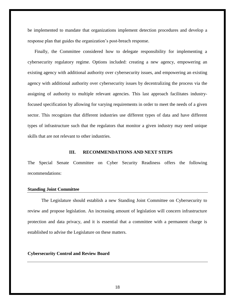be implemented to mandate that organizations implement detection procedures and develop a response plan that guides the organization's post-breach response.

Finally, the Committee considered how to delegate responsibility for implementing a cybersecurity regulatory regime. Options included: creating a new agency, empowering an existing agency with additional authority over cybersecurity issues, and empowering an existing agency with additional authority over cybersecurity issues by decentralizing the process via the assigning of authority to multiple relevant agencies. This last approach facilitates industryfocused specification by allowing for varying requirements in order to meet the needs of a given sector. This recognizes that different industries use different types of data and have different types of infrastructure such that the regulators that monitor a given industry may need unique skills that are not relevant to other industries.

# **III. RECOMMENDATIONS AND NEXT STEPS**

<span id="page-17-0"></span>The Special Senate Committee on Cyber Security Readiness offers the following recommendations:

# **Standing Joint Committee**

The Legislature should establish a new Standing Joint Committee on Cybersecurity to review and propose legislation. An increasing amount of legislation will concern infrastructure protection and data privacy, and it is essential that a committee with a permanent charge is established to advise the Legislature on these matters.

# **Cybersecurity Control and Review Board**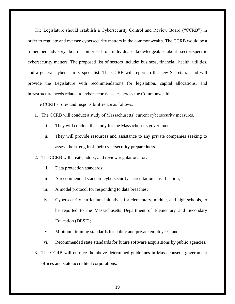The Legislature should establish a Cybersecurity Control and Review Board ("CCRB") in order to regulate and oversee cybersecurity matters in the commonwealth. The CCRB would be a 5-member advisory board comprised of individuals knowledgeable about sector-specific cybersecurity matters. The proposed list of sectors include: business, financial, health, utilities, and a general cybersecurity specialist. The CCRB will report to the new Secretariat and will provide the Legislature with recommendations for legislation, capital allocations, and infrastructure needs related to cybersecurity issues across the Commonwealth.

The CCRB's roles and responsibilities are as follows:

- 1. The CCRB will conduct a study of Massachusetts' current cybersecurity measures.
	- i. They will conduct the study for the Massachusetts government.
	- ii. They will provide resources and assistance to any private companies seeking to assess the strength of their cybersecurity preparedness.

2. The CCRB will create, adopt, and review regulations for:

- i. Data protection standards;
- ii. A recommended standard cybersecurity accreditation classification;
- iii. A model protocol for responding to data breaches;
- iv. Cybersecurity curriculum initiatives for elementary, middle, and high schools, to be reported to the Massachusetts Department of Elementary and Secondary Education (DESE);
- v. Minimum training standards for public and private employees; and
- vi. Recommended state standards for future software acquisitions by public agencies.
- 3. The CCRB will enforce the above determined guidelines in Massachusetts government offices and state-accredited corporations.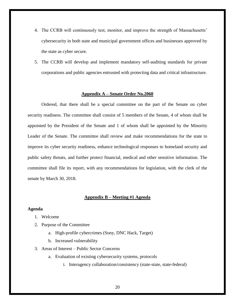- 4. The CCRB will continuously test, monitor, and improve the strength of Massachusetts' cybersecurity in both state and municipal government offices and businesses approved by the state as cyber secure.
- <span id="page-19-0"></span>5. The CCRB will develop and implement mandatory self-auditing standards for private corporations and public agencies entrusted with protecting data and critical infrastructure.

# **Appendix A – Senate Order No.2060**

Ordered, that there shall be a special committee on the part of the Senate on cyber security readiness. The committee shall consist of 5 members of the Senate, 4 of whom shall be appointed by the President of the Senate and 1 of whom shall be appointed by the Minority Leader of the Senate. The committee shall review and make recommendations for the state to improve its cyber security readiness, enhance technological responses to homeland security and public safety threats, and further protect financial, medical and other sensitive information. The committee shall file its report, with any recommendations for legislation, with the clerk of the senate by March 30, 2018.

# **Appendix B – Meeting #1 Agenda**

# <span id="page-19-2"></span><span id="page-19-1"></span>**Agenda**

- 1. Welcome
- 2. Purpose of the Committee
	- a. High-profile cybercrimes (Sony, DNC Hack, Target)
	- b. Increased vulnerability
- 3. Areas of Interest Public Sector Concerns
	- a. Evaluation of existing cybersecurity systems, protocols
		- i. Interagency collaboration/consistency (state-state, state-federal)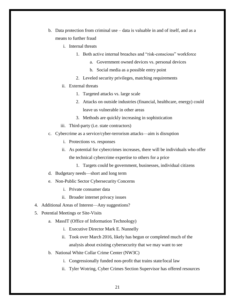- b. Data protection from criminal use data is valuable in and of itself, and as a means to further fraud
	- i. Internal threats
		- 1. Both active internal breaches and "risk-conscious" workforce
			- a. Government owned devices vs. personal devices
			- b. Social media as a possible entry point
		- 2. Leveled security privileges, matching requirements

# ii. External threats

- 1. Targeted attacks vs. large scale
- 2. Attacks on outside industries (financial, healthcare, energy) could leave us vulnerable in other areas
- 3. Methods are quickly increasing in sophistication
- iii. Third-party (i.e. state contractors)
- c. Cybercrime as a service/cyber-terrorism attacks—aim is disruption
	- i. Protections vs. responses
	- ii. As potential for cybercrimes increases, there will be individuals who offer the technical cybercrime expertise to others for a price
		- 1. Targets could be government, businesses, individual citizens
- d. Budgetary needs—short and long term
- e. Non-Public Sector Cybersecurity Concerns
	- i. Private consumer data
	- ii. Broader internet privacy issues
- 4. Additional Areas of Interest—Any suggestions?
- 5. Potential Meetings or Site-Visits
	- a. MassIT (Office of Information Technology)
		- i. Executive Director Mark E. Nunnelly
		- ii. Took over March 2016, likely has begun or completed much of the analysis about existing cybersecurity that we may want to see
	- b. National White Collar Crime Center (NW3C)
		- i. Congressionally funded non-profit that trains state/local law
		- ii. Tyler Wotring, Cyber Crimes Section Supervisor has offered resources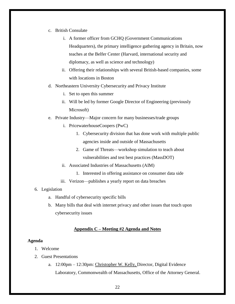- c. British Consulate
	- i. A former officer from GCHQ (Government Communications Headquarters), the primary intelligence gathering agency in Britain, now teaches at the Belfer Center (Harvard, international security and diplomacy, as well as science and technology)
	- ii. Offering their relationships with several British-based companies, some with locations in Boston
- d. Northeastern University Cybersecurity and Privacy Institute
	- i. Set to open this summer
	- ii. Will be led by former Google Director of Engineering (previously Microsoft)
- e. Private Industry—Major concern for many businesses/trade groups
	- i. PricewaterhouseCoopers (PwC)
		- 1. Cybersecurity division that has done work with multiple public agencies inside and outside of Massachusetts
		- 2. Game of Threats—workshop simulation to teach about vulnerabilities and test best practices (MassDOT)
	- ii. Associated Industries of Massachusetts (AIM)
		- 1. Interested in offering assistance on consumer data side
	- iii. Verizon—publishes a yearly report on data breaches

#### 6. Legislation

- a. Handful of cybersecurity specific bills
- b. Many bills that deal with internet privacy and other issues that touch upon cybersecurity issues

# **Appendix C – Meeting #2 Agenda and Notes**

# <span id="page-21-1"></span><span id="page-21-0"></span>**Agenda**

- 1. Welcome
- 2. Guest Presentations
	- a. 12:00pm 12:30pm: Christopher W. Kelly, Director, Digital Evidence Laboratory, Commonwealth of Massachusetts, Office of the Attorney General.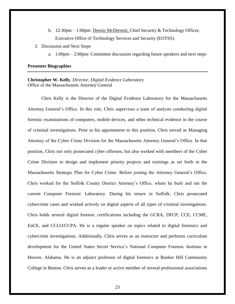- b. 12:30pm 1:00pm: Dennis McDermitt, Chief Security & Technology Officer, Executive Office of Technology Services and Security (EOTSS).
- 3. Discussion and Next Steps
	- a. 1:00pm 2:00pm: Committee discussion regarding future speakers and next steps

# <span id="page-22-0"></span>**Presenter Biographies**

# **Christopher W. Kelly**, *Director, Digital Evidence Laboratory* Office of the Massachusetts Attorney General

Chris Kelly is the Director of the Digital Evidence Laboratory for the Massachusetts Attorney General's Office. In this role, Chris supervises a team of analysts conducting digital forensic examinations of computers, mobile devices, and other technical evidence in the course of criminal investigations. Prior to his appointment to this position, Chris served as Managing Attorney of the Cyber Crime Division for the Massachusetts Attorney General's Office. In that position, Chris not only prosecuted cyber offenses, but also worked with members of the Cyber Crime Division to design and implement priority projects and trainings as set forth in the Massachusetts Strategic Plan for Cyber Crime. Before joining the Attorney General's Office, Chris worked for the Suffolk County District Attorney's Office, where he built and ran the current Computer Forensic Laboratory. During his tenure in Suffolk, Chris prosecuted cybercrime cases and worked actively on digital aspects of all types of criminal investigations. Chris holds several digital forensic certifications including the GCRA, DFCP, CCE, CCME, EnCE, and CCLO/CCPA. He is a regular speaker on topics related to digital forensics and cybercrime investigations. Additionally, Chris serves as an instructor and performs curriculum development for the United States Secret Service's National Computer Forensic Institute in Hoover, Alabama. He is an adjunct professor of digital forensics at Bunker Hill Community College in Boston. Chris serves as a leader or active member of several professional associations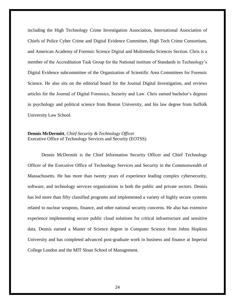including the High Technology Crime Investigation Association, International Association of Chiefs of Police Cyber Crime and Digital Evidence Committee, High Tech Crime Consortium, and American Academy of Forensic Science Digital and Multimedia Sciences Section. Chris is a member of the Accreditation Task Group for the National institute of Standards in Technology's Digital Evidence subcommittee of the Organization of Scientific Area Committees for Forensic Science. He also sits on the editorial board for the Journal Digital Investigation, and reviews articles for the Journal of Digital Forensics, Security and Law. Chris earned bachelor's degrees in psychology and political science from Boston University, and his law degree from Suffolk University Law School.

# **Dennis McDermitt**, *Chief Security & Technology Officer* Executive Office of Technology Services and Security (EOTSS)

Dennis McDermitt is the Chief Information Security Officer and Chief Technology Officer of the Executive Office of Technology Services and Security in the Commonwealth of Massachusetts. He has more than twenty years of experience leading complex cybersecurity, software, and technology services organizations in both the public and private sectors. Dennis has led more than fifty classified programs and implemented a variety of highly secure systems related to nuclear weapons, finance, and other national security concerns. He also has extensive experience implementing secure public cloud solutions for critical infrastructure and sensitive data. Dennis earned a Master of Science degree in Computer Science from Johns Hopkins University and has completed advanced post-graduate work in business and finance at Imperial College London and the MIT Sloan School of Management.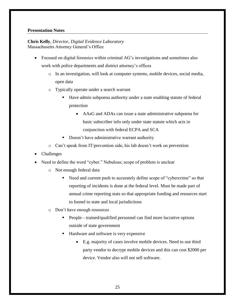# **Presentation Notes**

# **Chris Kelly**, *Director, Digital Evidence Laboratory* Massachusetts Attorney General's Office

- Focused on digital forensics within criminal AG's investigations and sometimes also work with police departments and district attorney's offices
	- o In an investigation, will look at computer systems, mobile devices, social media, open data
	- o Typically operate under a search warrant
		- Have admin subpoena authority under a state enabling statute of federal protection
			- AAsG and ADAs can issue a state administrative subpoena for basic subscriber info only under state statute which acts in conjunction with federal ECPA and SCA
		- Doesn't have administrative warrant authority
	- o Can't speak from IT/prevention side, his lab doesn't work on prevention
- Challenges
- Need to define the word "cyber." Nebulous; scope of problem is unclear
	- o Not enough federal data
		- Need and current push to accurately define scope of "cybercrime" so that reporting of incidents is done at the federal level. Must be made part of annual crime reporting stats so that appropriate funding and resources start to funnel to state and local jurisdictions
	- o Don't have enough resources
		- People—trained/qualified personnel can find more lucrative options outside of state government
		- Hardware and software is very expensive
			- E.g. majority of cases involve mobile devices. Need to use third party vendor to decrypt mobile devices and this can cost \$2000 per device. Vendor also will not sell software.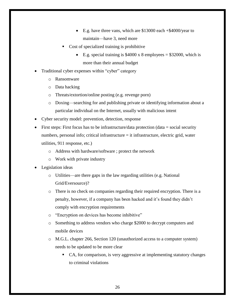- E.g. have three vans, which are \$13000 each +\$4000/year to maintain—have 3, need more
- Cost of specialized training is prohibitive
	- E.g. special training is  $$4000 \times 8$  employees = \$32000, which is more than their annual budget
- Traditional cyber expenses within "cyber" category
	- o Ransomware
	- o Data hacking
	- o Threats/extortion/online posting (e.g. revenge porn)
	- o Doxing—searching for and publishing private or identifying information about a particular individual on the Internet, usually with malicious intent
- Cyber security model: prevention, detection, response
- First steps: First focus has to be infrastructure/data protection (data = social security numbers, personal info; critical infrastructure = it infrastructure, electric grid, water utilities, 911 response, etc.)
	- o Address with hardware/software ; protect the network
	- o Work with private industry
- Legislation ideas
	- o Utilities—are there gaps in the law regarding utilities (e.g. National Grid/Eversource)?
	- o There is no check on companies regarding their required encryption. There is a penalty, however, if a company has been hacked and it's found they didn't comply with encryption requirements
	- o "Encryption on devices has become inhibitive"
	- o Something to address vendors who charge \$2000 to decrypt computers and mobile devices
	- o M.G.L. chapter 266, Section 120 (unauthorized access to a computer system) needs to be updated to be more clear
		- CA, for comparison, is very aggressive at implementing statutory changes to criminal violations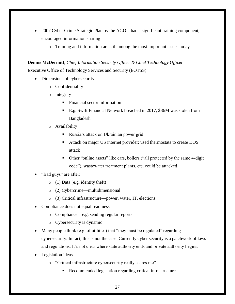- 2007 Cyber Crime Strategic Plan by the AGO—had a significant training component, encouraged information sharing
	- o Training and information are still among the most important issues today

**Dennis McDermitt**, *Chief Information Security Officer & Chief Technology Officer* Executive Office of Technology Services and Security (EOTSS)

- Dimensions of cybersecurity
	- o Confidentiality
	- o Integrity
		- **Financial sector information**
		- E.g. Swift Financial Network breached in 2017, \$86M was stolen from Bangladesh
	- o Availability
		- Russia's attack on Ukrainian power grid
		- Attack on major US internet provider; used thermostats to create DOS attack
		- Other "online assets" like cars, boilers ("all protected by the same 4-digit code"), wastewater treatment plants, etc. could be attacked
- "Bad guys" are after:
	- o (1) Data (e.g. identity theft)
	- o (2) Cybercrime—multidimensional
	- o (3) Critical infrastructure—power, water, IT, elections
- Compliance does not equal readiness
	- o Compliance e.g. sending regular reports
	- o Cybersecurity is dynamic
- Many people think (e.g. of utilities) that "they must be regulated" regarding cybersecurity. In fact, this is not the case. Currently cyber security is a patchwork of laws and regulations. It's not clear where state authority ends and private authority begins.
- Legislation ideas
	- o "Critical infrastructure cybersecurity really scares me"
		- **Recommended legislation regarding critical infrastructure**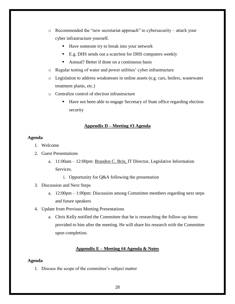- o Recommended the "new secretariat approach" to cybersecurity attack your cyber infrastructure yourself.
	- Have someone try to break into your network
	- E.g. DHS sends out a scan/test for DHS computers weekly
	- Annual? Better if done on a continuous basis
- o Regular testing of water and power utilities' cyber infrastructure
- o Legislation to address weaknesses in online assets (e.g. cars, boilers, wastewater treatment plants, etc.)
- o Centralize control of election infrastructure
	- Have not been able to engage Secretary of State office regarding election security

# **Appendix D – Meeting #3 Agenda**

# <span id="page-27-1"></span><span id="page-27-0"></span>**Agenda**

- 1. Welcome
- 2. Guest Presentations
	- a. 11:00am 12:00pm: Brandon C. Brin, IT Director, Legislative Information Services.
		- i. Opportunity for Q&A following the presentation
- 3. Discussion and Next Steps
	- a. 12:00pm 1:00pm: Discussion among Committee members regarding next steps and future speakers
- 4. Update from Previous Meeting Presentations
	- a. Chris Kelly notified the Committee that he is researching the follow-up items provided to him after the meeting. He will share his research with the Committee upon completion.

# **Appendix E – Meeting #4 Agenda & Notes**

# <span id="page-27-3"></span><span id="page-27-2"></span>**Agenda**

1. Discuss the scope of the committee's subject matter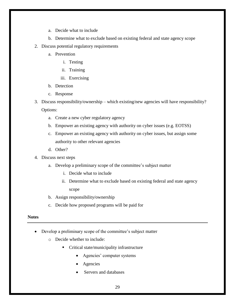- a. Decide what to include
- b. Determine what to exclude based on existing federal and state agency scope
- 2. Discuss potential regulatory requirements
	- a. Prevention
		- i. Testing
		- ii. Training
		- iii. Exercising
	- b. Detection
	- c. Response
- 3. Discuss responsibility/ownership which existing/new agencies will have responsibility? Options:
	- a. Create a new cyber regulatory agency
	- b. Empower an existing agency with authority on cyber issues (e.g. EOTSS)
	- c. Empower an existing agency with authority on cyber issues, but assign some authority to other relevant agencies
	- d. Other?
- 4. Discuss next steps
	- a. Develop a preliminary scope of the committee's subject matter
		- i. Decide what to include
		- ii. Determine what to exclude based on existing federal and state agency scope
	- b. Assign responsibility/ownership
	- c. Decide how proposed programs will be paid for

# <span id="page-28-0"></span>**Notes**

- Develop a preliminary scope of the committee's subject matter
	- o Decide whether to include:
		- Critical state/municipality infrastructure
			- Agencies' computer systems
			- Agencies
			- Servers and databases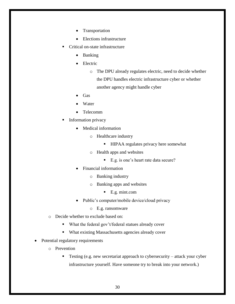- Transportation
- Elections infrastructure
- Critical on-state infrastructure
	- Banking
	- Electric

o The DPU already regulates electric, need to decide whether the DPU handles electric infrastructure cyber or whether another agency might handle cyber

- Gas
- Water
- Telecomm
- Information privacy
	- Medical information
		- o Healthcare industry
			- HIPAA regulates privacy here somewhat
		- o Health apps and websites
			- E.g. is one's heart rate data secure?
	- Financial information
		- o Banking industry
		- o Banking apps and websites
			- E.g. mint.com
	- Public's computer/mobile device/cloud privacy
		- o E.g. ransomware
- o Decide whether to exclude based on:
	- What the federal gov't/federal statues already cover
	- What existing Massachusetts agencies already cover
- Potential regulatory requirements
	- o Prevention
		- Testing (e.g. new secretariat approach to cybersecurity attack your cyber infrastructure yourself. Have someone try to break into your network.)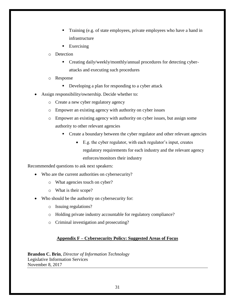- Training (e.g. of state employees, private employees who have a hand in infrastructure
- Exercising
- o Detection
	- **Creating daily/weekly/monthly/annual procedures for detecting cyber**attacks and executing such procedures
- o Response
	- Developing a plan for responding to a cyber attack
- Assign responsibility/ownership. Decide whether to:
	- o Create a new cyber regulatory agency
	- o Empower an existing agency with authority on cyber issues
	- o Empower an existing agency with authority on cyber issues, but assign some authority to other relevant agencies
		- Create a boundary between the cyber regulator and other relevant agencies
			- E.g. the cyber regulator, with each regulator's input, creates regulatory requirements for each industry and the relevant agency enforces/monitors their industry

Recommended questions to ask next speakers:

- Who are the current authorities on cybersecurity?
	- o What agencies touch on cyber?
	- o What is their scope?
- Who should be the authority on cybersecurity for:
	- o Issuing regulations?
	- o Holding private industry accountable for regulatory compliance?
	- o Criminal investigation and prosecuting?

# **Appendix F – Cybersecurity Policy: Suggested Areas of Focus**

<span id="page-30-0"></span>**Brandon C. Brin**, *Director of Information Technology* Legislative Information Services November 8, 2017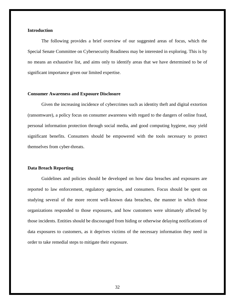# **Introduction**

The following provides a brief overview of our suggested areas of focus, which the Special Senate Committee on Cybersecurity Readiness may be interested in exploring. This is by no means an exhaustive list, and aims only to identify areas that we have determined to be of significant importance given our limited expertise.

# **Consumer Awareness and Exposure Disclosure**

Given the increasing incidence of cybercrimes such as identity theft and digital extortion (ransomware), a policy focus on consumer awareness with regard to the dangers of online fraud, personal information protection through social media, and good computing hygiene, may yield significant benefits. Consumers should be empowered with the tools necessary to protect themselves from cyber-threats.

#### **Data Breach Reporting**

Guidelines and policies should be developed on how data breaches and exposures are reported to law enforcement, regulatory agencies, and consumers. Focus should be spent on studying several of the more recent well-known data breaches, the manner in which those organizations responded to those exposures, and how customers were ultimately affected by those incidents. Entities should be discouraged from hiding or otherwise delaying notifications of data exposures to customers, as it deprives victims of the necessary information they need in order to take remedial steps to mitigate their exposure.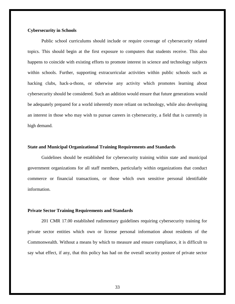# **Cybersecurity in Schools**

Public school curriculums should include or require coverage of cybersecurity related topics. This should begin at the first exposure to computers that students receive. This also happens to coincide with existing efforts to promote interest in science and technology subjects within schools. Further, supporting extracurricular activities within public schools such as hacking clubs, hack-a-thons, or otherwise any activity which promotes learning about cybersecurity should be considered. Such an addition would ensure that future generations would be adequately prepared for a world inherently more reliant on technology, while also developing an interest in those who may wish to pursue careers in cybersecurity, a field that is currently in high demand.

# **State and Municipal Organizational Training Requirements and Standards**

Guidelines should be established for cybersecurity training within state and municipal government organizations for all staff members, particularly within organizations that conduct commerce or financial transactions, or those which own sensitive personal identifiable information.

## **Private Sector Training Requirements and Standards**

201 CMR 17.00 established rudimentary guidelines requiring cybersecurity training for private sector entities which own or license personal information about residents of the Commonwealth. Without a means by which to measure and ensure compliance, it is difficult to say what effect, if any, that this policy has had on the overall security posture of private sector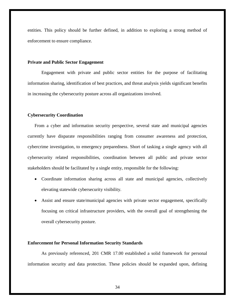entities. This policy should be further defined, in addition to exploring a strong method of enforcement to ensure compliance.

# **Private and Public Sector Engagement**

Engagement with private and public sector entities for the purpose of facilitating information sharing, identification of best practices, and threat analysis yields significant benefits in increasing the cybersecurity posture across all organizations involved.

# **Cybersecurity Coordination**

From a cyber and information security perspective, several state and municipal agencies currently have disparate responsibilities ranging from consumer awareness and protection, cybercrime investigation, to emergency preparedness. Short of tasking a single agency with all cybersecurity related responsibilities, coordination between all public and private sector stakeholders should be facilitated by a single entity, responsible for the following:

- Coordinate information sharing across all state and municipal agencies, collectively elevating statewide cybersecurity visibility.
- Assist and ensure state/municipal agencies with private sector engagement, specifically focusing on critical infrastructure providers, with the overall goal of strengthening the overall cybersecurity posture.

# **Enforcement for Personal Information Security Standards**

As previously referenced, 201 CMR 17.00 established a solid framework for personal information security and data protection. These policies should be expanded upon, defining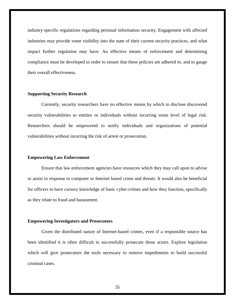industry specific regulations regarding personal information security. Engagement with affected industries may provide some visibility into the state of their current security practices, and what impact further regulation may have. An effective means of enforcement and determining compliance must be developed in order to ensure that these policies are adhered to, and to gauge their overall effectiveness.

# **Supporting Security Research**

Currently, security researchers have no effective means by which to disclose discovered security vulnerabilities to entities or individuals without incurring some level of legal risk. Researchers should be empowered to notify individuals and organizations of potential vulnerabilities without incurring the risk of arrest or prosecution.

# **Empowering Law Enforcement**

Ensure that law enforcement agencies have resources which they may call upon to advise or assist in response to computer or Internet based crime and threats. It would also be beneficial for officers to have cursory knowledge of basic cyber-crimes and how they function, specifically as they relate to fraud and harassment.

#### **Empowering Investigators and Prosecutors**

Given the distributed nature of Internet-based crimes, even if a responsible source has been identified it is often difficult to successfully prosecute those actors. Explore legislation which will give prosecutors the tools necessary to remove impediments to build successful criminal cases.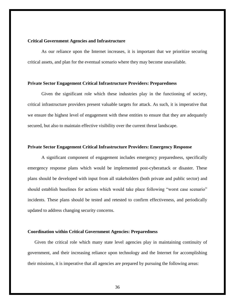# **Critical Government Agencies and Infrastructure**

As our reliance upon the Internet increases, it is important that we prioritize securing critical assets, and plan for the eventual scenario where they may become unavailable.

# **Private Sector Engagement Critical Infrastructure Providers: Preparedness**

Given the significant role which these industries play in the functioning of society, critical infrastructure providers present valuable targets for attack. As such, it is imperative that we ensure the highest level of engagement with these entities to ensure that they are adequately secured, but also to maintain effective visibility over the current threat landscape.

# **Private Sector Engagement Critical Infrastructure Providers: Emergency Response**

A significant component of engagement includes emergency preparedness, specifically emergency response plans which would be implemented post-cyberattack or disaster. These plans should be developed with input from all stakeholders (both private and public sector) and should establish baselines for actions which would take place following "worst case scenario" incidents. These plans should be tested and retested to confirm effectiveness, and periodically updated to address changing security concerns.

#### **Coordination within Critical Government Agencies: Preparedness**

Given the critical role which many state level agencies play in maintaining continuity of government, and their increasing reliance upon technology and the Internet for accomplishing their missions, it is imperative that all agencies are prepared by pursuing the following areas: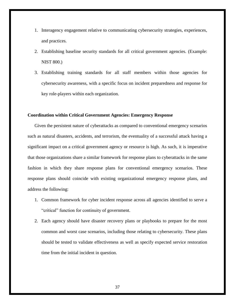- 1. Interagency engagement relative to communicating cybersecurity strategies, experiences, and practices.
- 2. Establishing baseline security standards for all critical government agencies. (Example: NIST 800.)
- 3. Establishing training standards for all staff members within those agencies for cybersecurity awareness, with a specific focus on incident preparedness and response for key role-players within each organization.

# **Coordination within Critical Government Agencies: Emergency Response**

Given the persistent nature of cyberattacks as compared to conventional emergency scenarios such as natural disasters, accidents, and terrorism, the eventuality of a successful attack having a significant impact on a critical government agency or resource is high. As such, it is imperative that those organizations share a similar framework for response plans to cyberattacks in the same fashion in which they share response plans for conventional emergency scenarios. These response plans should coincide with existing organizational emergency response plans, and address the following:

- 1. Common framework for cyber incident response across all agencies identified to serve a "critical" function for continuity of government.
- 2. Each agency should have disaster recovery plans or playbooks to prepare for the most common and worst case scenarios, including those relating to cybersecurity. These plans should be tested to validate effectiveness as well as specify expected service restoration time from the initial incident in question.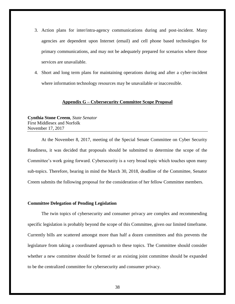- 3. Action plans for inter/intra-agency communications during and post-incident. Many agencies are dependent upon Internet (email) and cell phone based technologies for primary communications, and may not be adequately prepared for scenarios where those services are unavailable.
- 4. Short and long term plans for maintaining operations during and after a cyber-incident where information technology resources may be unavailable or inaccessible.

#### **Appendix G – Cybersecurity Committee Scope Proposal**

<span id="page-37-0"></span>**Cynthia Stone Creem**, *State Senator* First Middlesex and Norfolk November 17, 2017

At the November 8, 2017, meeting of the Special Senate Committee on Cyber Security Readiness, it was decided that proposals should be submitted to determine the scope of the Committee's work going forward. Cybersecurity is a very broad topic which touches upon many sub-topics. Therefore, bearing in mind the March 30, 2018, deadline of the Committee, Senator Creem submits the following proposal for the consideration of her fellow Committee members.

#### **Committee Delegation of Pending Legislation**

The twin topics of cybersecurity and consumer privacy are complex and recommending specific legislation is probably beyond the scope of this Committee, given our limited timeframe. Currently bills are scattered amongst more than half a dozen committees and this prevents the legislature from taking a coordinated approach to these topics. The Committee should consider whether a new committee should be formed or an existing joint committee should be expanded to be the centralized committee for cybersecurity and consumer privacy.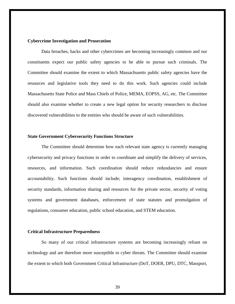# **Cybercrime Investigation and Prosecution**

Data breaches, hacks and other cybercrimes are becoming increasingly common and our constituents expect our public safety agencies to be able to pursue such criminals. The Committee should examine the extent to which Massachusetts public safety agencies have the resources and legislative tools they need to do this work. Such agencies could include Massachusetts State Police and Mass Chiefs of Police, MEMA, EOPSS, AG, etc. The Committee should also examine whether to create a new legal option for security researchers to disclose discovered vulnerabilities to the entities who should be aware of such vulnerabilities.

# **State Government Cybersecurity Functions Structure**

The Committee should determine how each relevant state agency is currently managing cybersecurity and privacy functions in order to coordinate and simplify the delivery of services, resources, and information. Such coordination should reduce redundancies and ensure accountability. Such functions should include; interagency coordination, establishment of security standards, information sharing and resources for the private sector, security of voting systems and government databases, enforcement of state statutes and promulgation of regulations, consumer education, public school education, and STEM education.

#### **Critical Infrastructure Preparedness**

So many of our critical infrastructure systems are becoming increasingly reliant on technology and are therefore more susceptible to cyber threats. The Committee should examine the extent to which both Government Critical Infrastructure (DoT, DOER, DPU, DTC, Massport,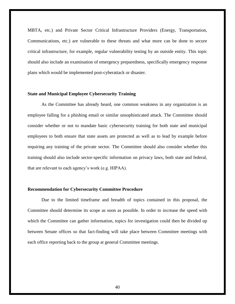MBTA, etc.) and Private Sector Critical Infrastructure Providers (Energy, Transportation, Communications, etc.) are vulnerable to these threats and what more can be done to secure critical infrastructure, for example, regular vulnerability testing by an outside entity. This topic should also include an examination of emergency preparedness, specifically emergency response plans which would be implemented post-cyberattack or disaster.

# **State and Municipal Employee Cybersecurity Training**

As the Committee has already heard, one common weakness in any organization is an employee falling for a phishing email or similar unsophisticated attack. The Committee should consider whether or not to mandate basic cybersecurity training for both state and municipal employees to both ensure that state assets are protected as well as to lead by example before requiring any training of the private sector. The Committee should also consider whether this training should also include sector-specific information on privacy laws, both state and federal, that are relevant to each agency's work (e.g. HIPAA).

#### **Recommendation for Cybersecurity Committee Procedure**

Due to the limited timeframe and breadth of topics contained in this proposal, the Committee should determine its scope as soon as possible. In order to increase the speed with which the Committee can gather information, topics for investigation could then be divided up between Senate offices so that fact-finding will take place between Committee meetings with each office reporting back to the group at general Committee meetings.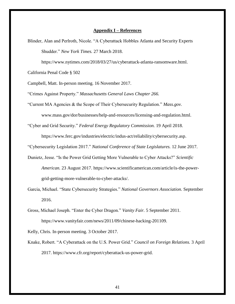#### **Appendix I – References**

<span id="page-40-0"></span>Blinder, Alan and Perlroth, Nicole. "A Cyberattack Hobbles Atlanta and Security Experts Shudder." *New York Times.* 27 March 2018.

https://www.nytimes.com/2018/03/27/us/cyberattack-atlanta-ransomware.html.

California Penal Code § 502

Campbell, Matt. In-person meeting. 16 November 2017.

"Crimes Against Property." *Massachusetts General Laws Chapter 266.* 

"Current MA Agencies & the Scope of Their Cybersecurity Regulation." *Mass.gov.*  www.mass.gov/dor/businesses/help-and-resources/licensing-and-regulation.html.

"Cyber and Grid Security." *Federal Energy Regulatory Commission.* 19 April 2018. https://www.ferc.gov/industries/electric/indus-act/reliability/cybersecurity.asp.

"Cybersecurity Legislation 2017." *National Conference of State Legislatures.* 12 June 2017.

- Dunietz, Jesse. "Is the Power Grid Getting More Vulnerable to Cyber Attacks?" *Scientific American.* 23 August 2017. https://www.scientificamerican.com/article/is-the-powergrid-getting-more-vulnerable-to-cyber-attacks/.
- Garcia, Michael. "State Cybersecurity Strategies." *National Governors Association.* September 2016.
- Gross, Michael Joseph. "Enter the Cyber Dragon." *Vanity Fair.* 5 September 2011. https://www.vanityfair.com/news/2011/09/chinese-hacking-201109.

Kelly, Chris. In-person meeting. 3 October 2017.

Knake, Robert. "A Cyberattack on the U.S. Power Grid." *Council on Foreign Relations.* 3 April 2017. https://www.cfr.org/report/cyberattack-us-power-grid.